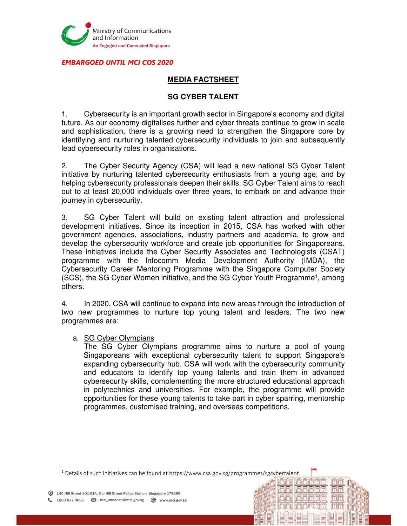

EMBARGOED UNTIL MCI COS 2020

# **MEDIA FACTSHEET**

#### **SG CYBER TALENT**

1. Cybersecurity is an important growth sector in Singapore's economy and digital future. As our economy digitalises further and cyber threats continue to grow in scale and sophistication, there is a growing need to strengthen the Singapore core by identifying and nurturing talented cybersecurity individuals to join and subsequently lead cybersecurity roles in organisations.

2. The Cyber Security Agency (CSA) will lead a new national SG Cyber Talent initiative by nurturing talented cybersecurity enthusiasts from a young age, and by helping cybersecurity professionals deepen their skills. SG Cyber Talent aims to reach out to at least 20,000 individuals over three years, to embark on and advance their journey in cybersecurity.

3. SG Cyber Talent will build on existing talent attraction and professional development initiatives. Since its inception in 2015, CSA has worked with other government agencies, associations, industry partners and academia, to grow and develop the cybersecurity workforce and create job opportunities for Singaporeans. These initiatives include the Cyber Security Associates and Technologists (CSAT) programme with the Infocomm Media Development Authority (IMDA), the Cybersecurity Career Mentoring Programme with the Singapore Computer Society (SCS), the SG Cyber Women initiative, and the SG Cyber Youth Programme<sup>1</sup>, among others.

4. In 2020, CSA will continue to expand into new areas through the introduction of two new programmes to nurture top young talent and leaders. The two new programmes are:

a. SG Cyber Olympians

The SG Cyber Olympians programme aims to nurture a pool of young Singaporeans with exceptional cybersecurity talent to support Singapore's expanding cybersecurity hub. CSA will work with the cybersecurity community and educators to identify top young talents and train them in advanced cybersecurity skills, complementing the more structured educational approach in polytechnics and universities. For example, the programme will provide opportunities for these young talents to take part in cyber sparring, mentorship programmes, customised training, and overseas competitions.

امازلمزامازاماز ارامازا

**i Di Di Di Di Di** Di

<sup>1</sup> Details of such initiatives can be found at https://www.csa.gov.sg/programmes/sgcybertalent

 $\overline{a}$